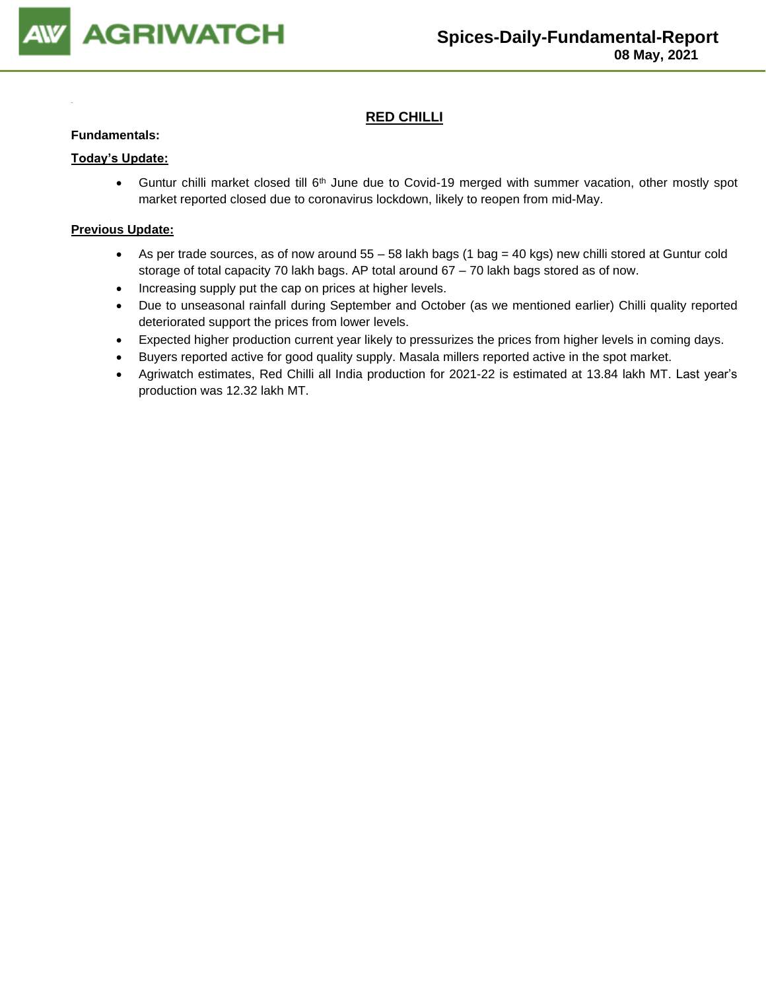

## **RED CHILLI**

#### **Fundamentals:**

#### **Today's Update:**

• Guntur chilli market closed till 6<sup>th</sup> June due to Covid-19 merged with summer vacation, other mostly spot market reported closed due to coronavirus lockdown, likely to reopen from mid-May.

- As per trade sources, as of now around 55 58 lakh bags (1 bag = 40 kgs) new chilli stored at Guntur cold storage of total capacity 70 lakh bags. AP total around 67 – 70 lakh bags stored as of now.
- Increasing supply put the cap on prices at higher levels.
- Due to unseasonal rainfall during September and October (as we mentioned earlier) Chilli quality reported deteriorated support the prices from lower levels.
- Expected higher production current year likely to pressurizes the prices from higher levels in coming days.
- Buyers reported active for good quality supply. Masala millers reported active in the spot market.
- Agriwatch estimates, Red Chilli all India production for 2021-22 is estimated at 13.84 lakh MT. Last year's production was 12.32 lakh MT.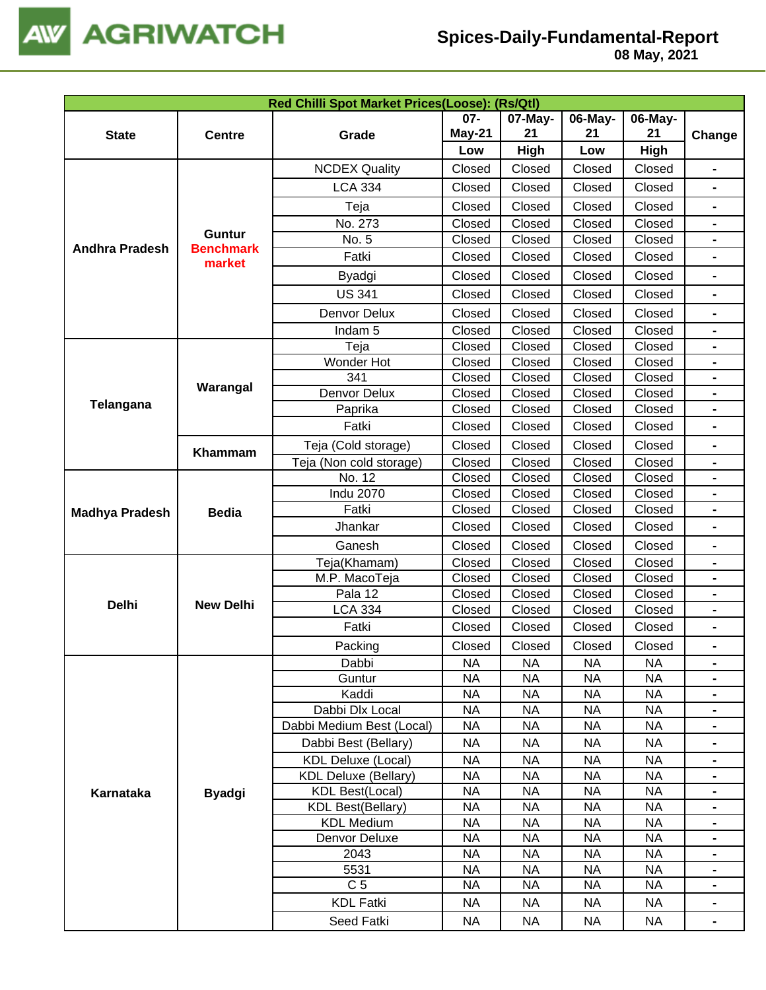

| Red Chilli Spot Market Prices(Loose): (Rs/Qtl) |                                   |                             |           |           |           |           |                |  |
|------------------------------------------------|-----------------------------------|-----------------------------|-----------|-----------|-----------|-----------|----------------|--|
|                                                |                                   |                             | $07 -$    | 07-May-   | 06-May-   | 06-May-   |                |  |
| <b>State</b>                                   | <b>Centre</b>                     | Grade                       | May-21    | 21        | 21        | 21        | Change         |  |
|                                                |                                   |                             | Low       | High      | Low       | High      |                |  |
|                                                |                                   | <b>NCDEX Quality</b>        | Closed    | Closed    | Closed    | Closed    | $\blacksquare$ |  |
|                                                |                                   | <b>LCA 334</b>              | Closed    | Closed    | Closed    | Closed    |                |  |
|                                                |                                   | Teja                        | Closed    | Closed    | Closed    | Closed    | $\blacksquare$ |  |
|                                                |                                   | No. 273                     | Closed    | Closed    | Closed    | Closed    | $\blacksquare$ |  |
| <b>Andhra Pradesh</b>                          | <b>Guntur</b><br><b>Benchmark</b> | No. 5                       | Closed    | Closed    | Closed    | Closed    |                |  |
|                                                | market                            | Fatki                       | Closed    | Closed    | Closed    | Closed    |                |  |
|                                                |                                   | Byadgi                      | Closed    | Closed    | Closed    | Closed    | $\blacksquare$ |  |
|                                                |                                   | <b>US 341</b>               | Closed    | Closed    | Closed    | Closed    |                |  |
|                                                |                                   | Denvor Delux                | Closed    | Closed    | Closed    | Closed    |                |  |
|                                                |                                   | Indam <sub>5</sub>          | Closed    | Closed    | Closed    | Closed    |                |  |
|                                                |                                   | Teja                        | Closed    | Closed    | Closed    | Closed    |                |  |
|                                                |                                   | Wonder Hot                  | Closed    | Closed    | Closed    | Closed    |                |  |
|                                                |                                   | 341                         | Closed    | Closed    | Closed    | Closed    | $\blacksquare$ |  |
|                                                | Warangal                          | Denvor Delux                | Closed    | Closed    | Closed    | Closed    | $\blacksquare$ |  |
| Telangana                                      |                                   | Paprika                     | Closed    | Closed    | Closed    | Closed    | $\blacksquare$ |  |
|                                                |                                   | Fatki                       | Closed    | Closed    | Closed    | Closed    |                |  |
|                                                | Khammam                           | Teja (Cold storage)         | Closed    | Closed    | Closed    | Closed    | $\blacksquare$ |  |
|                                                |                                   | Teja (Non cold storage)     | Closed    | Closed    | Closed    | Closed    |                |  |
|                                                |                                   | No. 12                      | Closed    | Closed    | Closed    | Closed    |                |  |
|                                                |                                   | <b>Indu 2070</b>            | Closed    | Closed    | Closed    | Closed    |                |  |
| <b>Madhya Pradesh</b>                          | <b>Bedia</b>                      | Fatki                       | Closed    | Closed    | Closed    | Closed    |                |  |
|                                                |                                   | Jhankar                     | Closed    | Closed    | Closed    | Closed    |                |  |
|                                                |                                   | Ganesh                      | Closed    | Closed    | Closed    | Closed    | $\blacksquare$ |  |
|                                                |                                   | Teja(Khamam)                | Closed    | Closed    | Closed    | Closed    |                |  |
|                                                |                                   | M.P. MacoTeja               | Closed    | Closed    | Closed    | Closed    |                |  |
|                                                |                                   | Pala 12                     | Closed    | Closed    | Closed    | Closed    |                |  |
| <b>Delhi</b>                                   | <b>New Delhi</b>                  | <b>LCA 334</b>              | Closed    | Closed    | Closed    | Closed    |                |  |
|                                                |                                   | Fatki                       | Closed    | Closed    | Closed    | Closed    |                |  |
|                                                |                                   | Packing                     | Closed    | Closed    | Closed    | Closed    |                |  |
|                                                |                                   | Dabbi                       | <b>NA</b> | <b>NA</b> | <b>NA</b> | <b>NA</b> | $\blacksquare$ |  |
|                                                |                                   | Guntur                      | <b>NA</b> | <b>NA</b> | <b>NA</b> | <b>NA</b> |                |  |
|                                                |                                   | Kaddi                       | <b>NA</b> | <b>NA</b> | <b>NA</b> | <b>NA</b> |                |  |
|                                                |                                   | Dabbi Dlx Local             | <b>NA</b> | <b>NA</b> | <b>NA</b> | <b>NA</b> |                |  |
|                                                |                                   | Dabbi Medium Best (Local)   | <b>NA</b> | <b>NA</b> | <b>NA</b> | <b>NA</b> |                |  |
|                                                |                                   | Dabbi Best (Bellary)        | <b>NA</b> | <b>NA</b> | <b>NA</b> | <b>NA</b> |                |  |
|                                                |                                   | <b>KDL Deluxe (Local)</b>   | <b>NA</b> | <b>NA</b> | <b>NA</b> | <b>NA</b> | $\blacksquare$ |  |
|                                                |                                   | <b>KDL Deluxe (Bellary)</b> | <b>NA</b> | <b>NA</b> | <b>NA</b> | <b>NA</b> | $\blacksquare$ |  |
| Karnataka                                      | <b>Byadgi</b>                     | <b>KDL Best(Local)</b>      | <b>NA</b> | <b>NA</b> | <b>NA</b> | <b>NA</b> | $\blacksquare$ |  |
|                                                |                                   | <b>KDL Best(Bellary)</b>    | <b>NA</b> | <b>NA</b> | <b>NA</b> | <b>NA</b> | -              |  |
|                                                |                                   | <b>KDL Medium</b>           | <b>NA</b> | <b>NA</b> | <b>NA</b> | <b>NA</b> |                |  |
|                                                |                                   | Denvor Deluxe               | <b>NA</b> | <b>NA</b> | <b>NA</b> | <b>NA</b> |                |  |
|                                                |                                   | 2043                        | <b>NA</b> | <b>NA</b> | <b>NA</b> | <b>NA</b> |                |  |
|                                                |                                   | 5531                        | <b>NA</b> | <b>NA</b> | <b>NA</b> | <b>NA</b> |                |  |
|                                                |                                   | C <sub>5</sub>              | <b>NA</b> | <b>NA</b> | <b>NA</b> | <b>NA</b> |                |  |
|                                                |                                   | <b>KDL Fatki</b>            | <b>NA</b> | <b>NA</b> | <b>NA</b> | <b>NA</b> | $\blacksquare$ |  |
|                                                |                                   | Seed Fatki                  | <b>NA</b> | NA.       | <b>NA</b> | NA        | $\blacksquare$ |  |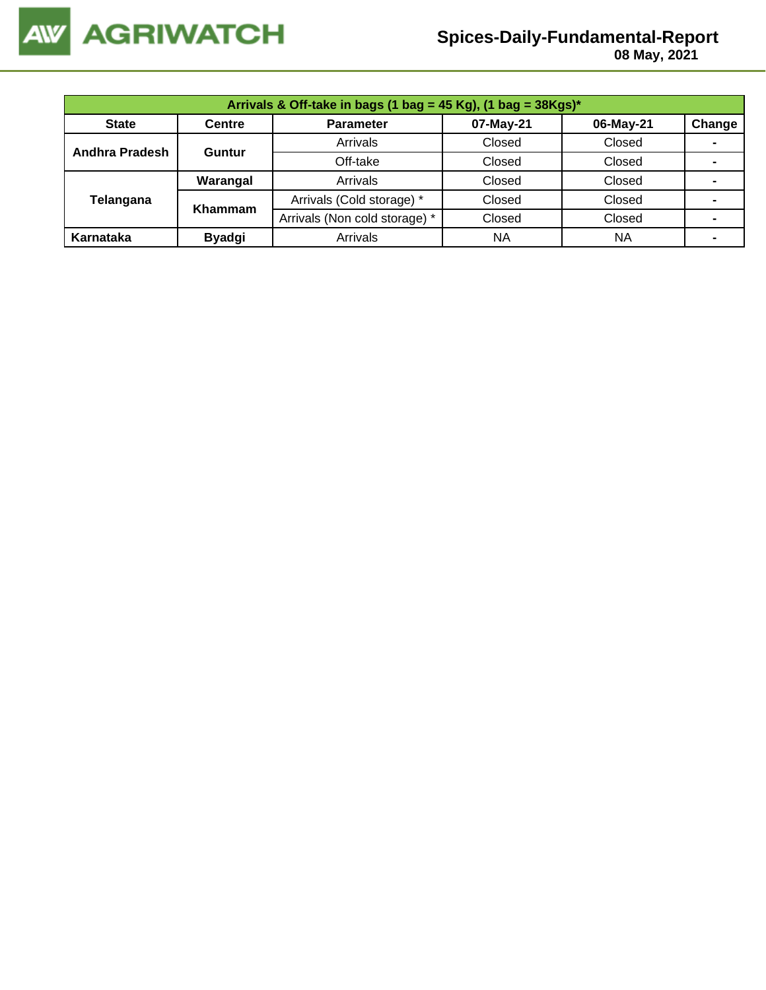

 **08 May, 2021**

| Arrivals & Off-take in bags (1 bag = 45 Kg), (1 bag = $38Kgs$ )* |               |                               |           |           |                |  |  |  |
|------------------------------------------------------------------|---------------|-------------------------------|-----------|-----------|----------------|--|--|--|
| <b>State</b>                                                     | <b>Centre</b> | <b>Parameter</b>              | 07-May-21 | 06-May-21 | Change         |  |  |  |
| Andhra Pradesh                                                   | Guntur        | Arrivals                      | Closed    | Closed    | $\blacksquare$ |  |  |  |
|                                                                  |               | Off-take                      | Closed    | Closed    |                |  |  |  |
|                                                                  | Warangal      | Arrivals                      | Closed    | Closed    | -              |  |  |  |
| Telangana                                                        | Khammam       | Arrivals (Cold storage) *     | Closed    | Closed    | $\blacksquare$ |  |  |  |
|                                                                  |               | Arrivals (Non cold storage) * | Closed    | Closed    |                |  |  |  |
| Karnataka                                                        | <b>Byadgi</b> | Arrivals                      | <b>NA</b> | <b>NA</b> |                |  |  |  |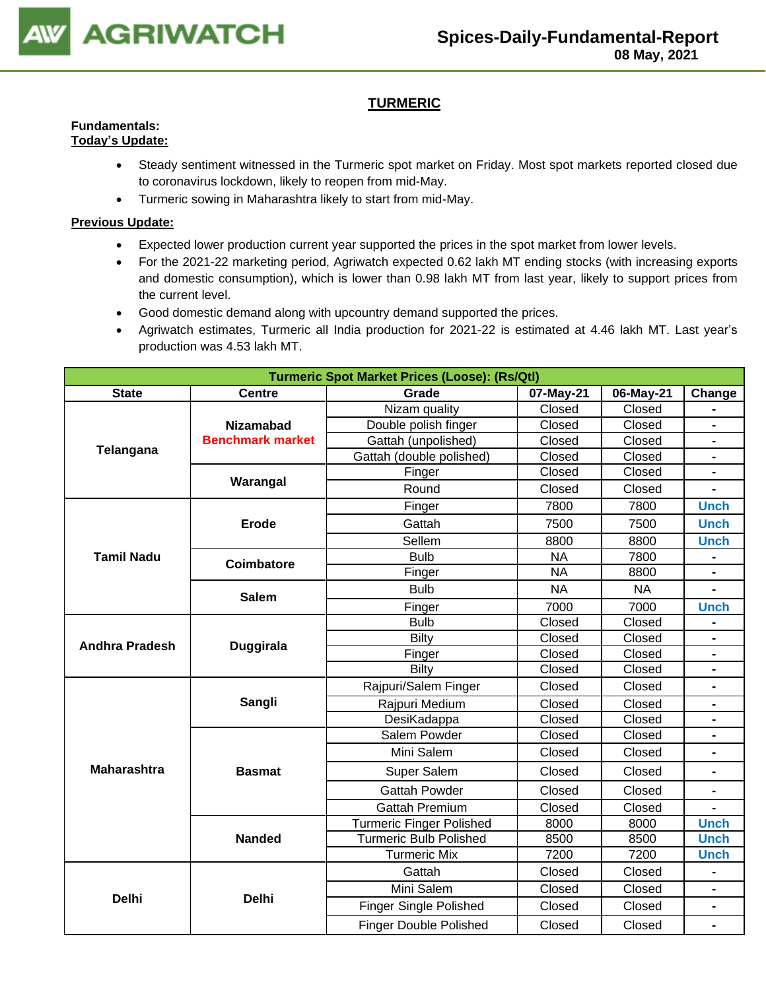

## **TURMERIC**

#### **Fundamentals: Today's Update:**

- Steady sentiment witnessed in the Turmeric spot market on Friday. Most spot markets reported closed due to coronavirus lockdown, likely to reopen from mid-May.
	- Turmeric sowing in Maharashtra likely to start from mid-May.

- Expected lower production current year supported the prices in the spot market from lower levels.
- For the 2021-22 marketing period, Agriwatch expected 0.62 lakh MT ending stocks (with increasing exports and domestic consumption), which is lower than 0.98 lakh MT from last year, likely to support prices from the current level.
- Good domestic demand along with upcountry demand supported the prices.
- Agriwatch estimates, Turmeric all India production for 2021-22 is estimated at 4.46 lakh MT. Last year's production was 4.53 lakh MT.

|                       | <b>Turmeric Spot Market Prices (Loose): (Rs/Qtl)</b> |                                 |           |           |                |  |  |  |
|-----------------------|------------------------------------------------------|---------------------------------|-----------|-----------|----------------|--|--|--|
| <b>State</b>          | <b>Centre</b>                                        | Grade                           | 07-May-21 | 06-May-21 | Change         |  |  |  |
|                       |                                                      | Nizam quality                   | Closed    | Closed    |                |  |  |  |
|                       | <b>Nizamabad</b>                                     | Double polish finger            | Closed    | Closed    | $\blacksquare$ |  |  |  |
|                       | <b>Benchmark market</b>                              | Gattah (unpolished)             | Closed    | Closed    |                |  |  |  |
| Telangana             |                                                      | Gattah (double polished)        | Closed    | Closed    |                |  |  |  |
|                       | Warangal                                             | Finger                          | Closed    | Closed    |                |  |  |  |
|                       |                                                      | Round                           | Closed    | Closed    |                |  |  |  |
|                       |                                                      | Finger                          | 7800      | 7800      | <b>Unch</b>    |  |  |  |
|                       | <b>Erode</b>                                         | Gattah                          | 7500      | 7500      | <b>Unch</b>    |  |  |  |
|                       |                                                      | Sellem                          | 8800      | 8800      | <b>Unch</b>    |  |  |  |
| <b>Tamil Nadu</b>     | Coimbatore                                           | <b>Bulb</b>                     | <b>NA</b> | 7800      |                |  |  |  |
|                       |                                                      | Finger                          | <b>NA</b> | 8800      |                |  |  |  |
|                       | <b>Salem</b>                                         | <b>Bulb</b>                     | <b>NA</b> | <b>NA</b> |                |  |  |  |
|                       |                                                      | Finger                          | 7000      | 7000      | <b>Unch</b>    |  |  |  |
|                       |                                                      | <b>Bulb</b>                     | Closed    | Closed    |                |  |  |  |
| <b>Andhra Pradesh</b> | <b>Duggirala</b>                                     | <b>Bilty</b>                    | Closed    | Closed    | $\blacksquare$ |  |  |  |
|                       |                                                      | Finger                          | Closed    | Closed    | $\blacksquare$ |  |  |  |
|                       |                                                      | Bilty                           | Closed    | Closed    | $\blacksquare$ |  |  |  |
|                       |                                                      | Rajpuri/Salem Finger            | Closed    | Closed    |                |  |  |  |
|                       | Sangli                                               | Rajpuri Medium                  | Closed    | Closed    | $\blacksquare$ |  |  |  |
|                       |                                                      | DesiKadappa                     | Closed    | Closed    | $\blacksquare$ |  |  |  |
|                       |                                                      | Salem Powder                    | Closed    | Closed    |                |  |  |  |
|                       |                                                      | Mini Salem                      | Closed    | Closed    | $\blacksquare$ |  |  |  |
| <b>Maharashtra</b>    | <b>Basmat</b>                                        | Super Salem                     | Closed    | Closed    | $\overline{a}$ |  |  |  |
|                       |                                                      | <b>Gattah Powder</b>            | Closed    | Closed    |                |  |  |  |
|                       |                                                      | <b>Gattah Premium</b>           | Closed    | Closed    | $\blacksquare$ |  |  |  |
|                       |                                                      | <b>Turmeric Finger Polished</b> | 8000      | 8000      | <b>Unch</b>    |  |  |  |
|                       | <b>Nanded</b>                                        | <b>Turmeric Bulb Polished</b>   | 8500      | 8500      | <b>Unch</b>    |  |  |  |
|                       |                                                      | <b>Turmeric Mix</b>             | 7200      | 7200      | <b>Unch</b>    |  |  |  |
|                       |                                                      | Gattah                          | Closed    | Closed    |                |  |  |  |
| <b>Delhi</b>          | <b>Delhi</b>                                         | Mini Salem                      | Closed    | Closed    |                |  |  |  |
|                       |                                                      | <b>Finger Single Polished</b>   | Closed    | Closed    | $\blacksquare$ |  |  |  |
|                       |                                                      | <b>Finger Double Polished</b>   | Closed    | Closed    | $\blacksquare$ |  |  |  |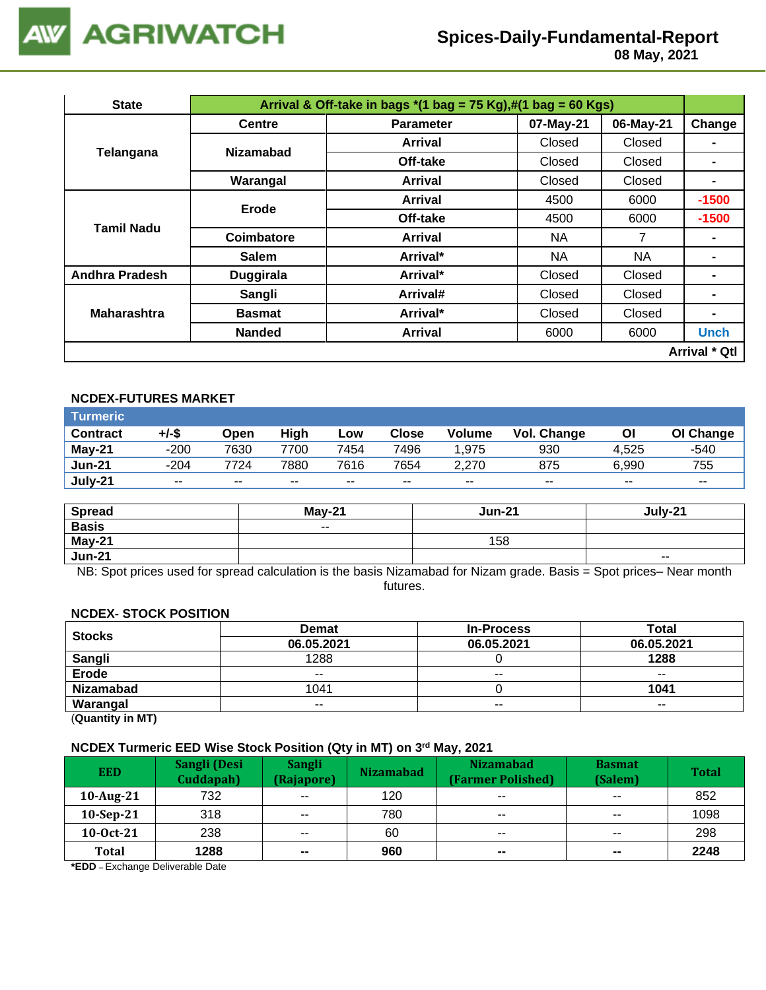

 **08 May, 2021**

| <b>State</b>          | Arrival & Off-take in bags $*(1 \text{ bag} = 75 \text{ Kg}),\#(1 \text{ bag} = 60 \text{ Kg})$ |                  |           |           |                      |  |  |  |
|-----------------------|-------------------------------------------------------------------------------------------------|------------------|-----------|-----------|----------------------|--|--|--|
| Telangana             | <b>Centre</b>                                                                                   | <b>Parameter</b> | 07-May-21 | 06-May-21 | Change               |  |  |  |
|                       | <b>Nizamabad</b>                                                                                | <b>Arrival</b>   | Closed    | Closed    |                      |  |  |  |
|                       |                                                                                                 | Off-take         | Closed    | Closed    |                      |  |  |  |
|                       | Warangal                                                                                        | <b>Arrival</b>   | Closed    | Closed    |                      |  |  |  |
| Tamil Nadu            | Erode                                                                                           | <b>Arrival</b>   | 4500      | 6000      | $-1500$              |  |  |  |
|                       |                                                                                                 | Off-take         | 4500      | 6000      | $-1500$              |  |  |  |
|                       | Coimbatore                                                                                      | <b>Arrival</b>   | NA        | 7         |                      |  |  |  |
|                       | <b>Salem</b>                                                                                    | Arrival*         | NA        | NA        | $\blacksquare$       |  |  |  |
| <b>Andhra Pradesh</b> | <b>Duggirala</b>                                                                                | Arrival*         | Closed    | Closed    |                      |  |  |  |
|                       | Sangli                                                                                          | Arrival#         | Closed    | Closed    |                      |  |  |  |
| <b>Maharashtra</b>    | <b>Basmat</b>                                                                                   | Arrival*         | Closed    | Closed    | $\blacksquare$       |  |  |  |
|                       | <b>Nanded</b>                                                                                   | Arrival          | 6000      | 6000      | <b>Unch</b>          |  |  |  |
|                       |                                                                                                 |                  |           |           | <b>Arrival * Qtl</b> |  |  |  |

## **NCDEX-FUTURES MARKET**

| <b>Turmeric</b> |        |       |       |       |       |               |             |       |           |
|-----------------|--------|-------|-------|-------|-------|---------------|-------------|-------|-----------|
| <b>Contract</b> | +/-\$  | Open  | High  | Low   | Close | <b>Volume</b> | Vol. Change | Οl    | OI Change |
| <b>May-21</b>   | $-200$ | 7630  | 7700  | 7454  | 7496  | 1,975         | 930         | 4.525 | $-540$    |
| <b>Jun-21</b>   | $-204$ | 7724  | 7880  | 7616  | 7654  | 2.270         | 875         | 6.990 | 755       |
| July-21         | $- -$  | $- -$ | $- -$ | $- -$ | $- -$ | $\sim$ $\sim$ | $- -$       | $- -$ | $- -$     |

| <b>Spread</b> | $Mav-21$ | <b>Jun-21</b> | July-21                  |
|---------------|----------|---------------|--------------------------|
| <b>Basis</b>  | $\sim$   |               |                          |
| May-21        |          | 158           |                          |
| <b>Jun-21</b> |          |               | $\overline{\phantom{a}}$ |

NB: Spot prices used for spread calculation is the basis Nizamabad for Nizam grade. Basis = Spot prices– Near month futures.

#### **NCDEX- STOCK POSITION**

| <b>Stocks</b>                                                                                                                                                                                                                                                                                                                      | <b>Demat</b> | <b>In-Process</b> | <b>Total</b> |
|------------------------------------------------------------------------------------------------------------------------------------------------------------------------------------------------------------------------------------------------------------------------------------------------------------------------------------|--------------|-------------------|--------------|
|                                                                                                                                                                                                                                                                                                                                    | 06.05.2021   | 06.05.2021        | 06.05.2021   |
| Sangli                                                                                                                                                                                                                                                                                                                             | 1288         |                   | 1288         |
| <b>Erode</b>                                                                                                                                                                                                                                                                                                                       | $- -$        | $- -$             | $- -$        |
| <b>Nizamabad</b>                                                                                                                                                                                                                                                                                                                   | 1041         |                   | 1041         |
| Warangal                                                                                                                                                                                                                                                                                                                           | $- -$        | $- -$             | $- -$        |
| $\mathbf{r}$ $\mathbf{r}$ $\mathbf{r}$ $\mathbf{r}$ $\mathbf{r}$ $\mathbf{r}$ $\mathbf{r}$ $\mathbf{r}$ $\mathbf{r}$ $\mathbf{r}$ $\mathbf{r}$ $\mathbf{r}$ $\mathbf{r}$ $\mathbf{r}$ $\mathbf{r}$ $\mathbf{r}$ $\mathbf{r}$ $\mathbf{r}$ $\mathbf{r}$ $\mathbf{r}$ $\mathbf{r}$ $\mathbf{r}$ $\mathbf{r}$ $\mathbf{r}$ $\mathbf{$ |              |                   |              |

(**Quantity in MT)**

#### **NCDEX Turmeric EED Wise Stock Position (Qty in MT) on 3 rd May, 2021**

| <b>EED</b>   | Sangli (Desi<br>Cuddapah) | <b>Sangli</b><br>(Rajapore) | <b>Nizamabad</b> | <b>Nizamabad</b><br><b>(Farmer Polished)</b> | <b>Basmat</b><br>(Salem) | <b>Total</b> |
|--------------|---------------------------|-----------------------------|------------------|----------------------------------------------|--------------------------|--------------|
| 10-Aug-21    | 732                       | $- -$                       | 120              | $\overline{\phantom{a}}$                     | $\overline{\phantom{a}}$ | 852          |
| $10-Sep-21$  | 318                       | $- -$                       | 780              | $\overline{\phantom{a}}$                     | $\overline{\phantom{m}}$ | 1098         |
| 10-0ct-21    | 238                       | $- -$                       | 60               | $- -$                                        | $\sim$ $\sim$            | 298          |
| <b>Total</b> | 1288                      | $\overline{\phantom{a}}$    | 960              | $\sim$                                       | $\sim$                   | 2248         |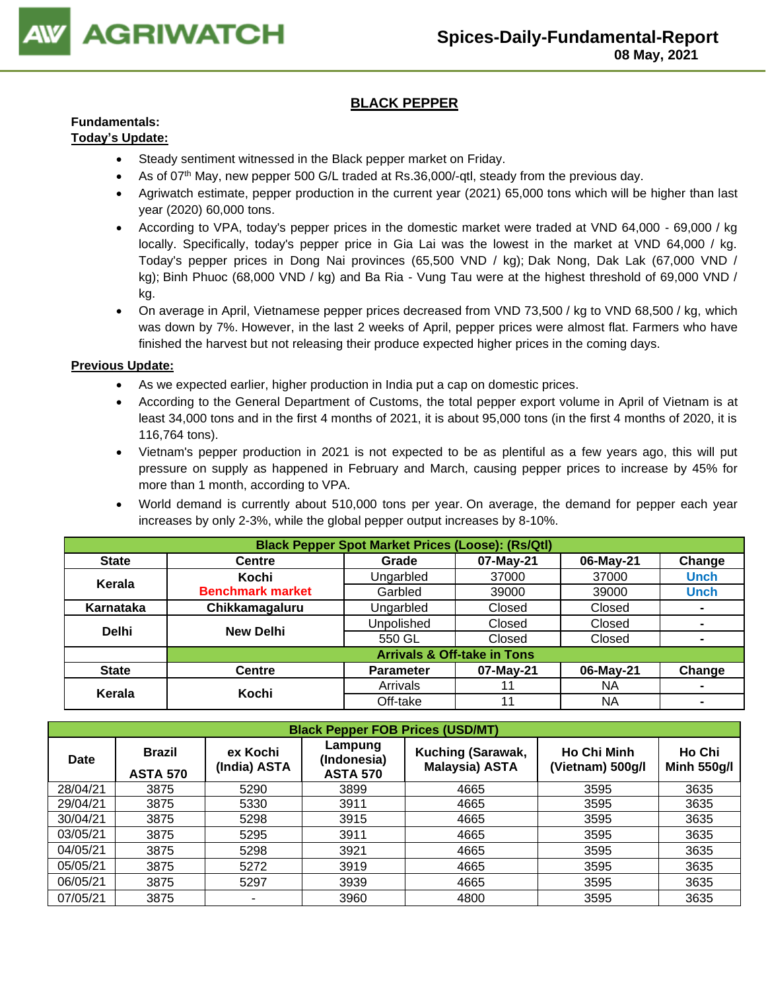

## **BLACK PEPPER**

## **Fundamentals:**

## **Today's Update:**

- Steady sentiment witnessed in the Black pepper market on Friday.
- As of 07<sup>th</sup> May, new pepper 500 G/L traded at Rs.36,000/-qtl, steady from the previous day.
- Agriwatch estimate, pepper production in the current year (2021) 65,000 tons which will be higher than last year (2020) 60,000 tons.
- According to VPA, today's pepper prices in the domestic market were traded at VND 64,000 69,000 / kg locally. Specifically, today's pepper price in Gia Lai was the lowest in the market at VND 64,000 / kg. Today's pepper prices in Dong Nai provinces (65,500 VND / kg); Dak Nong, Dak Lak (67,000 VND / kg); Binh Phuoc (68,000 VND / kg) and Ba Ria - Vung Tau were at the highest threshold of 69,000 VND / kg.
- On average in April, Vietnamese pepper prices decreased from VND 73,500 / kg to VND 68,500 / kg, which was down by 7%. However, in the last 2 weeks of April, pepper prices were almost flat. Farmers who have finished the harvest but not releasing their produce expected higher prices in the coming days.

- As we expected earlier, higher production in India put a cap on domestic prices.
- According to the General Department of Customs, the total pepper export volume in April of Vietnam is at least 34,000 tons and in the first 4 months of 2021, it is about 95,000 tons (in the first 4 months of 2020, it is 116,764 tons).
- Vietnam's pepper production in 2021 is not expected to be as plentiful as a few years ago, this will put pressure on supply as happened in February and March, causing pepper prices to increase by 45% for more than 1 month, according to VPA.
- World demand is currently about 510,000 tons per year. On average, the demand for pepper each year increases by only 2-3%, while the global pepper output increases by 8-10%.

|              | <b>Black Pepper Spot Market Prices (Loose): (Rs/Qtl)</b> |                   |                                        |           |                |  |  |  |
|--------------|----------------------------------------------------------|-------------------|----------------------------------------|-----------|----------------|--|--|--|
| <b>State</b> | <b>Centre</b>                                            | Grade             | 07-May-21                              | 06-May-21 | Change         |  |  |  |
| Kerala       | Kochi                                                    | Ungarbled         | 37000                                  | 37000     | <b>Unch</b>    |  |  |  |
|              | <b>Benchmark market</b>                                  | Garbled           | 39000                                  | 39000     | <b>Unch</b>    |  |  |  |
| Karnataka    | Chikkamagaluru                                           | Ungarbled         | Closed                                 | Closed    | ۰              |  |  |  |
| <b>Delhi</b> | <b>New Delhi</b>                                         | <b>Unpolished</b> | Closed                                 | Closed    | $\blacksquare$ |  |  |  |
|              |                                                          | 550 GL            | Closed                                 | Closed    | $\blacksquare$ |  |  |  |
|              |                                                          |                   | <b>Arrivals &amp; Off-take in Tons</b> |           |                |  |  |  |
| <b>State</b> | <b>Centre</b>                                            | <b>Parameter</b>  | 07-May-21                              | 06-May-21 | Change         |  |  |  |
| Kerala       | Kochi                                                    | Arrivals          | 11                                     | ΝA        | $\blacksquare$ |  |  |  |
|              |                                                          | Off-take          | 11                                     | ΝA        |                |  |  |  |

| <b>Black Pepper FOB Prices (USD/MT)</b> |                                                              |      |                                                                                         |      |      |                                        |                              |  |  |
|-----------------------------------------|--------------------------------------------------------------|------|-----------------------------------------------------------------------------------------|------|------|----------------------------------------|------------------------------|--|--|
| Date                                    | ex Kochi<br><b>Brazil</b><br>(India) ASTA<br><b>ASTA 570</b> |      | Lampung<br>Kuching (Sarawak,<br>(Indonesia)<br><b>Malaysia) ASTA</b><br><b>ASTA 570</b> |      |      | <b>Ho Chi Minh</b><br>(Vietnam) 500g/l | Ho Chi<br><b>Minh 550g/l</b> |  |  |
| 28/04/21                                | 3875                                                         | 5290 | 3899                                                                                    | 4665 | 3595 | 3635                                   |                              |  |  |
| 29/04/21                                | 3875                                                         | 5330 | 3911                                                                                    | 4665 | 3595 | 3635                                   |                              |  |  |
| 30/04/21                                | 3875                                                         | 5298 | 3915                                                                                    | 4665 | 3595 | 3635                                   |                              |  |  |
| 03/05/21                                | 3875                                                         | 5295 | 3911                                                                                    | 4665 | 3595 | 3635                                   |                              |  |  |
| 04/05/21                                | 3875                                                         | 5298 | 3921                                                                                    | 4665 | 3595 | 3635                                   |                              |  |  |
| 05/05/21                                | 3875                                                         | 5272 | 3919                                                                                    | 4665 | 3595 | 3635                                   |                              |  |  |
| 06/05/21                                | 3875                                                         | 5297 | 3939                                                                                    | 4665 | 3595 | 3635                                   |                              |  |  |
| 07/05/21                                | 3875                                                         | ۰    | 3960                                                                                    | 4800 | 3595 | 3635                                   |                              |  |  |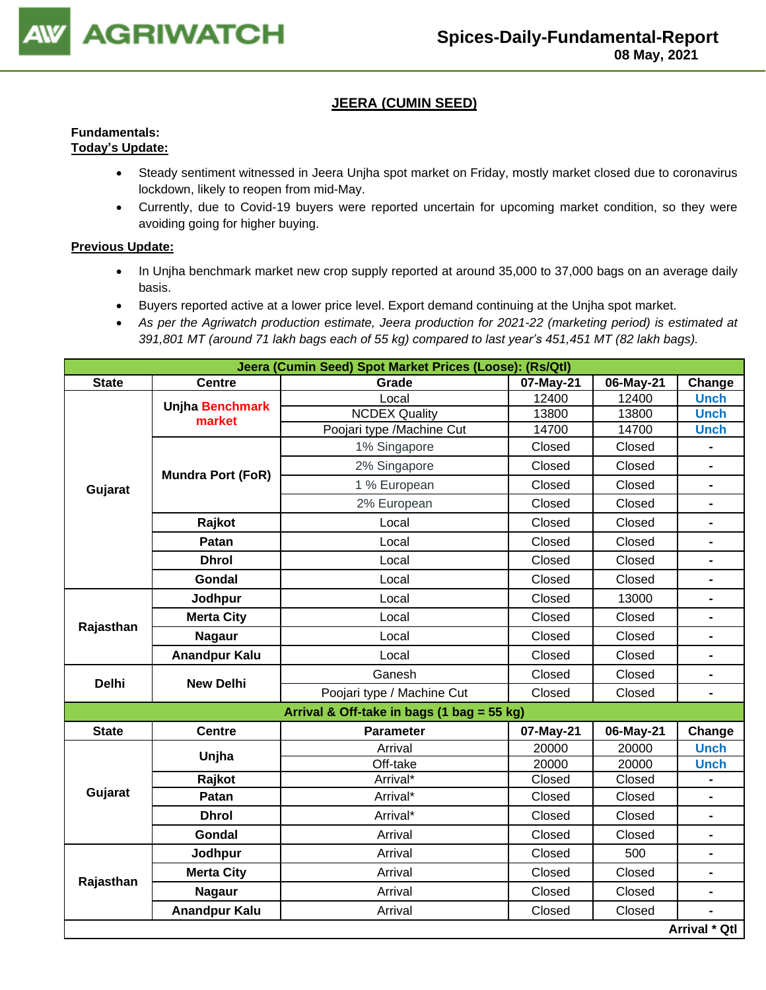

## **JEERA (CUMIN SEED)**

## **Fundamentals: Today's Update:**

- Steady sentiment witnessed in Jeera Unjha spot market on Friday, mostly market closed due to coronavirus lockdown, likely to reopen from mid-May.
- Currently, due to Covid-19 buyers were reported uncertain for upcoming market condition, so they were avoiding going for higher buying.

- In Unjha benchmark market new crop supply reported at around 35,000 to 37,000 bags on an average daily basis.
- Buyers reported active at a lower price level. Export demand continuing at the Unjha spot market.
- *As per the Agriwatch production estimate, Jeera production for 2021-22 (marketing period) is estimated at 391,801 MT (around 71 lakh bags each of 55 kg) compared to last year's 451,451 MT (82 lakh bags).*

|              | Jeera (Cumin Seed) Spot Market Prices (Loose): (Rs/Qtl) |                                            |           |           |                          |  |  |
|--------------|---------------------------------------------------------|--------------------------------------------|-----------|-----------|--------------------------|--|--|
| <b>State</b> | <b>Centre</b>                                           | Grade                                      | 07-May-21 | 06-May-21 | Change                   |  |  |
|              | <b>Unjha Benchmark</b>                                  | Local                                      | 12400     | 12400     | <b>Unch</b>              |  |  |
|              | market                                                  | <b>NCDEX Quality</b>                       | 13800     | 13800     | <b>Unch</b>              |  |  |
|              |                                                         | Poojari type /Machine Cut                  | 14700     | 14700     | <b>Unch</b>              |  |  |
|              |                                                         | 1% Singapore                               | Closed    | Closed    |                          |  |  |
|              | <b>Mundra Port (FoR)</b>                                | 2% Singapore                               | Closed    | Closed    |                          |  |  |
| Gujarat      |                                                         | 1 % European                               | Closed    | Closed    | $\blacksquare$           |  |  |
|              |                                                         | 2% European                                | Closed    | Closed    | $\blacksquare$           |  |  |
|              | Rajkot                                                  | Local                                      | Closed    | Closed    |                          |  |  |
|              | Patan                                                   | Local                                      | Closed    | Closed    | $\overline{\phantom{0}}$ |  |  |
|              | <b>Dhrol</b>                                            | Local                                      | Closed    | Closed    | $\blacksquare$           |  |  |
|              | Gondal                                                  | Local                                      | Closed    | Closed    | $\blacksquare$           |  |  |
|              | Jodhpur                                                 | Local                                      | Closed    | 13000     |                          |  |  |
| Rajasthan    | <b>Merta City</b>                                       | Local                                      | Closed    | Closed    | $\blacksquare$           |  |  |
|              | <b>Nagaur</b>                                           | Local                                      | Closed    | Closed    |                          |  |  |
|              | <b>Anandpur Kalu</b>                                    | Local                                      | Closed    | Closed    | $\blacksquare$           |  |  |
| <b>Delhi</b> | <b>New Delhi</b>                                        | Ganesh                                     | Closed    | Closed    | $\blacksquare$           |  |  |
|              |                                                         | Poojari type / Machine Cut                 | Closed    | Closed    | $\blacksquare$           |  |  |
|              |                                                         | Arrival & Off-take in bags (1 bag = 55 kg) |           |           |                          |  |  |
| <b>State</b> | <b>Centre</b>                                           | <b>Parameter</b>                           | 07-May-21 | 06-May-21 | Change                   |  |  |
|              | Unjha                                                   | Arrival                                    | 20000     | 20000     | <b>Unch</b>              |  |  |
|              |                                                         | Off-take                                   | 20000     | 20000     | <b>Unch</b>              |  |  |
|              | Rajkot                                                  | Arrival*                                   | Closed    | Closed    |                          |  |  |
| Gujarat      | Patan                                                   | Arrival*                                   | Closed    | Closed    | $\blacksquare$           |  |  |
|              | <b>Dhrol</b>                                            | Arrival*                                   | Closed    | Closed    | L.                       |  |  |
|              | Gondal                                                  | Arrival                                    | Closed    | Closed    | $\overline{\phantom{0}}$ |  |  |
|              | Jodhpur                                                 | Arrival                                    | Closed    | 500       |                          |  |  |
| Rajasthan    | <b>Merta City</b>                                       | Arrival                                    | Closed    | Closed    | $\blacksquare$           |  |  |
|              | <b>Nagaur</b>                                           | Arrival                                    | Closed    | Closed    |                          |  |  |
|              | <b>Anandpur Kalu</b>                                    | Arrival                                    | Closed    | Closed    |                          |  |  |
|              |                                                         |                                            |           |           | Arrival * Qtl            |  |  |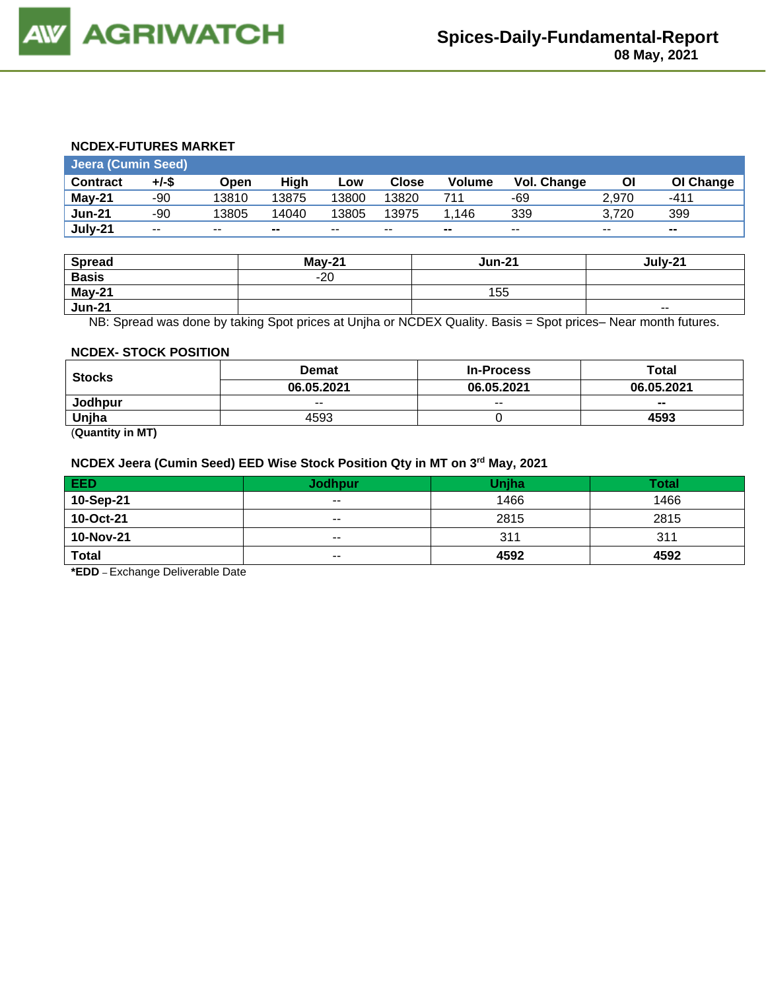## **NCDEX-FUTURES MARKET**

|                 | Jeera (Cumin Seed) |       |       |       |              |                |                    |       |           |
|-----------------|--------------------|-------|-------|-------|--------------|----------------|--------------------|-------|-----------|
| <b>Contract</b> | $+/-$ \$           | Open  | High  | Low   | <b>Close</b> | <b>Volume</b>  | <b>Vol. Change</b> | Οl    | OI Change |
| $May-21$        | -90                | 13810 | 13875 | 13800 | 13820        | 711            | -69                | 2.970 | $-411$    |
| <b>Jun-21</b>   | -90                | 13805 | 14040 | 13805 | 13975        | 1.146          | 339                | 3.720 | 399       |
| July-21         | $- -$              | $- -$ | --    | $- -$ | $- -$        | $\blacksquare$ | $- -$              | $- -$ | $\sim$    |

| <b>Spread</b> | $Mav-21$ | <b>Jun-21</b> | July-21 |
|---------------|----------|---------------|---------|
| <b>Basis</b>  | $-20$    |               |         |
| May-21        |          | 155           |         |
| <b>Jun-21</b> |          |               | $ -$    |

NB: Spread was done by taking Spot prices at Unjha or NCDEX Quality. Basis = Spot prices– Near month futures.

#### **NCDEX- STOCK POSITION**

| <b>Stocks</b> | <b>Demat</b> | <b>In-Process</b> | Total      |
|---------------|--------------|-------------------|------------|
|               | 06.05.2021   | 06.05.2021        | 06.05.2021 |
| Jodhpur       | $- -$        | $- -$             | $- -$      |
| Uniha         | 4593         |                   | 4593       |

(**Quantity in MT)**

#### **NCDEX Jeera (Cumin Seed) EED Wise Stock Position Qty in MT on 3 rd May, 2021**

| <b>EED</b>   | <b>Jodhpur</b>           | <b>Unjha</b> | <b>Total</b> |
|--------------|--------------------------|--------------|--------------|
| 10-Sep-21    | $\overline{\phantom{a}}$ | 1466         | 1466         |
| 10-Oct-21    | $- -$                    | 2815         | 2815         |
| 10-Nov-21    | $- -$                    | 311          | 311          |
| <b>Total</b> | $- -$                    | 4592         | 4592         |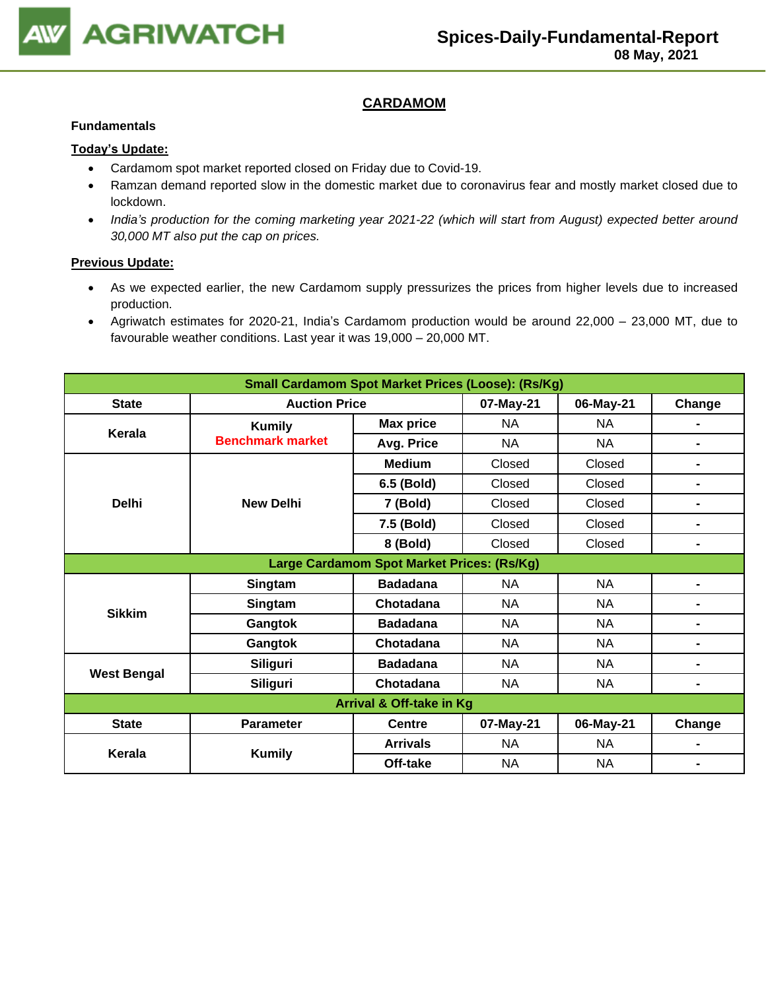

## **CARDAMOM**

#### **Fundamentals**

#### **Today's Update:**

- Cardamom spot market reported closed on Friday due to Covid-19.
- Ramzan demand reported slow in the domestic market due to coronavirus fear and mostly market closed due to lockdown.
- *India's production for the coming marketing year 2021-22 (which will start from August) expected better around 30,000 MT also put the cap on prices.*

- As we expected earlier, the new Cardamom supply pressurizes the prices from higher levels due to increased production.
- Agriwatch estimates for 2020-21, India's Cardamom production would be around 22,000 23,000 MT, due to favourable weather conditions. Last year it was 19,000 – 20,000 MT.

| <b>Small Cardamom Spot Market Prices (Loose): (Rs/Kg)</b> |                         |                                            |           |           |                          |  |  |
|-----------------------------------------------------------|-------------------------|--------------------------------------------|-----------|-----------|--------------------------|--|--|
| <b>State</b>                                              | <b>Auction Price</b>    |                                            | 07-May-21 | 06-May-21 | Change                   |  |  |
| Kerala                                                    | <b>Kumily</b>           | <b>Max price</b>                           | <b>NA</b> | <b>NA</b> |                          |  |  |
|                                                           | <b>Benchmark market</b> | Avg. Price                                 | <b>NA</b> | <b>NA</b> |                          |  |  |
|                                                           |                         | <b>Medium</b>                              | Closed    | Closed    |                          |  |  |
|                                                           |                         | 6.5 (Bold)                                 | Closed    | Closed    | $\blacksquare$           |  |  |
| <b>Delhi</b>                                              | <b>New Delhi</b>        | 7 (Bold)                                   | Closed    | Closed    | $\blacksquare$           |  |  |
|                                                           |                         | 7.5 (Bold)                                 | Closed    | Closed    |                          |  |  |
|                                                           |                         | 8 (Bold)                                   | Closed    | Closed    | $\overline{\phantom{a}}$ |  |  |
|                                                           |                         | Large Cardamom Spot Market Prices: (Rs/Kg) |           |           |                          |  |  |
|                                                           | Singtam                 | <b>Badadana</b>                            | <b>NA</b> | <b>NA</b> |                          |  |  |
| <b>Sikkim</b>                                             | Singtam                 | Chotadana                                  | <b>NA</b> | <b>NA</b> |                          |  |  |
|                                                           | Gangtok                 | <b>Badadana</b>                            | <b>NA</b> | <b>NA</b> | $\blacksquare$           |  |  |
|                                                           | Gangtok                 | Chotadana                                  | <b>NA</b> | <b>NA</b> | $\overline{\phantom{a}}$ |  |  |
|                                                           | <b>Siliguri</b>         | <b>Badadana</b>                            | <b>NA</b> | <b>NA</b> | $\blacksquare$           |  |  |
| <b>West Bengal</b>                                        | <b>Siliguri</b>         | Chotadana                                  | <b>NA</b> | NA        | $\blacksquare$           |  |  |
| Arrival & Off-take in Kg                                  |                         |                                            |           |           |                          |  |  |
| <b>State</b>                                              | <b>Parameter</b>        | <b>Centre</b>                              | 07-May-21 | 06-May-21 | Change                   |  |  |
| <b>Kerala</b>                                             |                         | <b>Arrivals</b>                            | <b>NA</b> | <b>NA</b> |                          |  |  |
|                                                           | <b>Kumily</b>           | Off-take                                   | <b>NA</b> | <b>NA</b> |                          |  |  |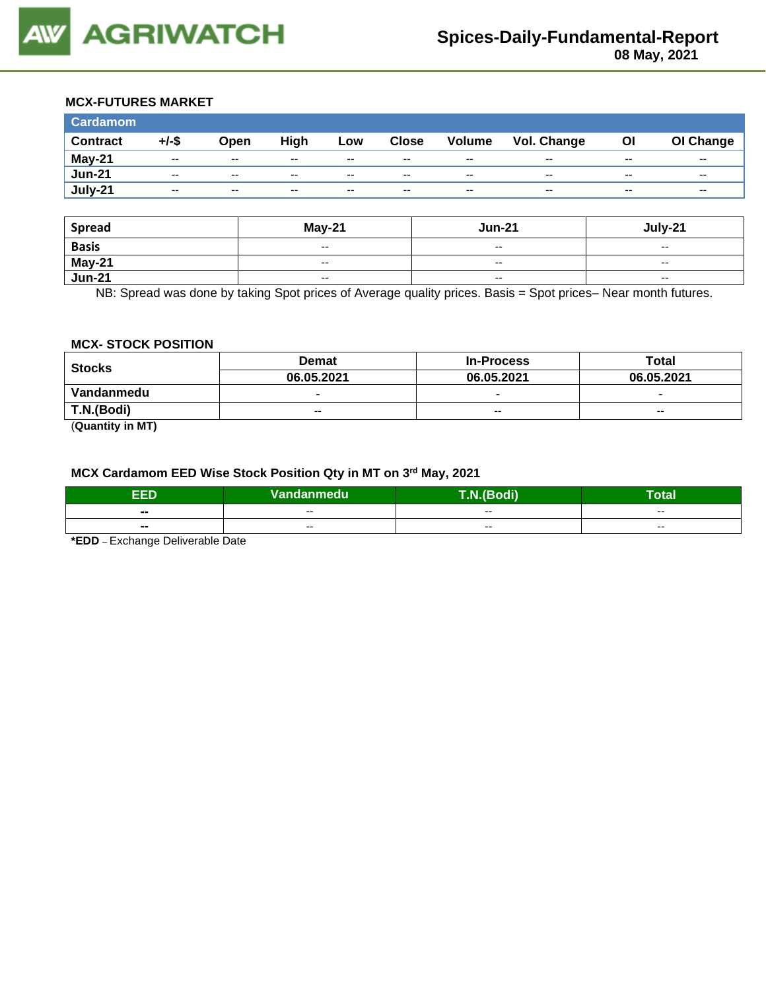

#### **MCX-FUTURES MARKET**

| <b>Cardamom</b> |       |       |       |       |              |                          |             |       |           |
|-----------------|-------|-------|-------|-------|--------------|--------------------------|-------------|-------|-----------|
| <b>Contract</b> | +/-\$ | Open  | High  | Low   | <b>Close</b> | <b>Volume</b>            | Vol. Change | O     | OI Change |
| May-21          | $- -$ | $- -$ | $- -$ | $- -$ | $- -$        | $- -$                    | $- -$       | $- -$ | $- -$     |
| <b>Jun-21</b>   | $- -$ | $- -$ | $- -$ | $- -$ | $- -$        | $- -$                    | $- -$       | $- -$ | $- -$     |
| July-21         | $- -$ | $- -$ | $- -$ | $- -$ | $- -$        | $\overline{\phantom{a}}$ | $- -$       | $- -$ | $- -$     |

| <b>Spread</b>           | $May-21$                                       | <b>Jun-21</b>            | July-21                  |
|-------------------------|------------------------------------------------|--------------------------|--------------------------|
| <b>Basis</b>            | $\sim$                                         | $\overline{\phantom{a}}$ | $\overline{\phantom{a}}$ |
| <b>May-21</b><br>Jun-21 | $\overline{\phantom{a}}$                       | $-$                      | $\overline{\phantom{a}}$ |
|                         | $\hspace{0.1mm}-\hspace{0.1mm}-\hspace{0.1mm}$ | $\overline{\phantom{a}}$ | $\overline{\phantom{a}}$ |

NB: Spread was done by taking Spot prices of Average quality prices. Basis = Spot prices– Near month futures.

### **MCX- STOCK POSITION**

| <b>Stocks</b> | Demat                    | <b>In-Process</b> | Total                    |  |
|---------------|--------------------------|-------------------|--------------------------|--|
|               | 06.05.2021               | 06.05.2021        | 06.05.2021               |  |
| Vandanmedu    | $\overline{\phantom{0}}$ | -                 | $\overline{\phantom{0}}$ |  |
| T.N.(Bodi)    | $-$                      | $-$               | $-$                      |  |
| (0.00011)     |                          |                   |                          |  |

(**Quantity in MT)**

#### **MCX Cardamom EED Wise Stock Position Qty in MT on 3 rd May, 2021**

| TM. | . .<br>Van<br>ndanmedu' | $\sqrt{2}$<br><b>STAR</b><br>-- | -<br>⊺otal |
|-----|-------------------------|---------------------------------|------------|
| --  | --                      | --                              | $- -$      |
| --  | $- -$                   | $- -$                           | $- -$      |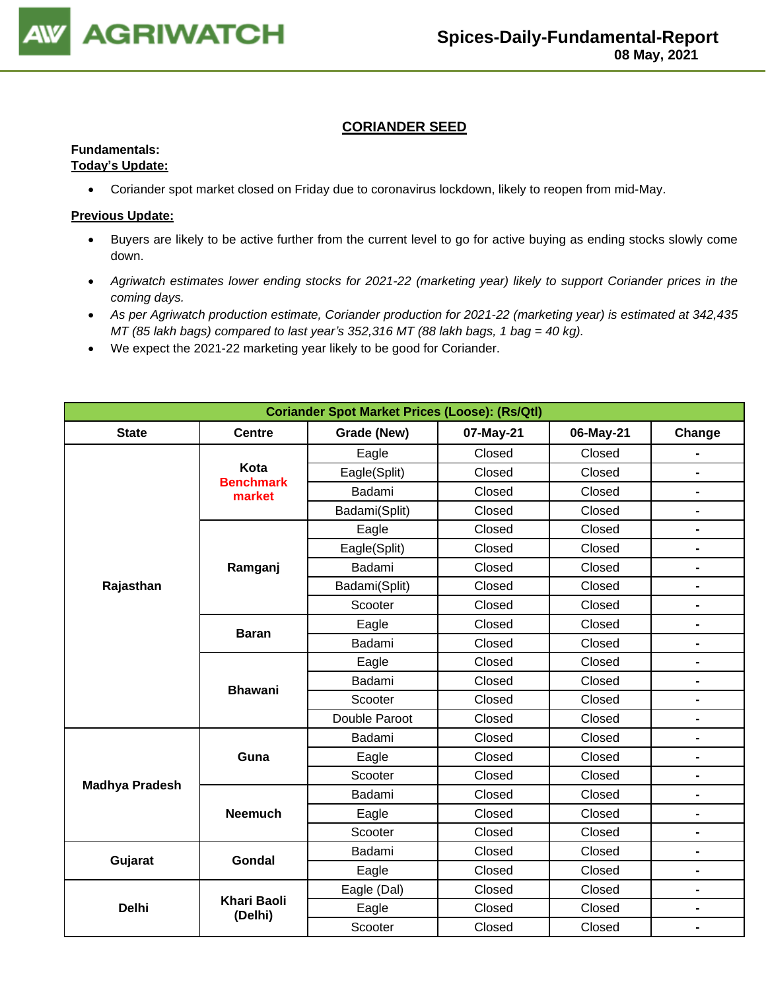

## **CORIANDER SEED**

## **Fundamentals:**

## **Today's Update:**

• Coriander spot market closed on Friday due to coronavirus lockdown, likely to reopen from mid-May.

- Buyers are likely to be active further from the current level to go for active buying as ending stocks slowly come down.
- *Agriwatch estimates lower ending stocks for 2021-22 (marketing year) likely to support Coriander prices in the coming days.*
- *As per Agriwatch production estimate, Coriander production for 2021-22 (marketing year) is estimated at 342,435 MT (85 lakh bags) compared to last year's 352,316 MT (88 lakh bags, 1 bag = 40 kg).*
- We expect the 2021-22 marketing year likely to be good for Coriander.

| <b>Coriander Spot Market Prices (Loose): (Rs/Qtl)</b> |                               |               |           |           |                |  |  |
|-------------------------------------------------------|-------------------------------|---------------|-----------|-----------|----------------|--|--|
| <b>State</b>                                          | <b>Centre</b>                 | Grade (New)   | 07-May-21 | 06-May-21 | Change         |  |  |
|                                                       |                               | Eagle         | Closed    | Closed    |                |  |  |
|                                                       | Kota                          | Eagle(Split)  | Closed    | Closed    | $\blacksquare$ |  |  |
|                                                       | <b>Benchmark</b><br>market    | Badami        | Closed    | Closed    | $\blacksquare$ |  |  |
|                                                       |                               | Badami(Split) | Closed    | Closed    | $\blacksquare$ |  |  |
|                                                       |                               | Eagle         | Closed    | Closed    | -              |  |  |
|                                                       |                               | Eagle(Split)  | Closed    | Closed    | $\blacksquare$ |  |  |
|                                                       | Ramganj                       | Badami        | Closed    | Closed    | $\blacksquare$ |  |  |
| Rajasthan                                             |                               | Badami(Split) | Closed    | Closed    | $\blacksquare$ |  |  |
|                                                       |                               | Scooter       | Closed    | Closed    | $\blacksquare$ |  |  |
|                                                       | <b>Baran</b>                  | Eagle         | Closed    | Closed    | $\blacksquare$ |  |  |
|                                                       |                               | Badami        | Closed    | Closed    | $\blacksquare$ |  |  |
|                                                       |                               | Eagle         | Closed    | Closed    | $\blacksquare$ |  |  |
|                                                       | <b>Bhawani</b>                | Badami        | Closed    | Closed    | $\blacksquare$ |  |  |
|                                                       |                               | Scooter       | Closed    | Closed    | $\blacksquare$ |  |  |
|                                                       |                               | Double Paroot | Closed    | Closed    | $\blacksquare$ |  |  |
|                                                       |                               | Badami        | Closed    | Closed    | -              |  |  |
|                                                       | Guna                          | Eagle         | Closed    | Closed    | -              |  |  |
| <b>Madhya Pradesh</b>                                 |                               | Scooter       | Closed    | Closed    | $\blacksquare$ |  |  |
|                                                       |                               | Badami        | Closed    | Closed    | -              |  |  |
|                                                       | <b>Neemuch</b>                | Eagle         | Closed    | Closed    | -              |  |  |
|                                                       |                               | Scooter       | Closed    | Closed    | $\blacksquare$ |  |  |
| Gujarat                                               | <b>Gondal</b>                 | Badami        | Closed    | Closed    | $\blacksquare$ |  |  |
|                                                       |                               | Eagle         | Closed    | Closed    | -              |  |  |
|                                                       |                               | Eagle (Dal)   | Closed    | Closed    | $\blacksquare$ |  |  |
| <b>Delhi</b>                                          | <b>Khari Baoli</b><br>(Delhi) | Eagle         | Closed    | Closed    | -              |  |  |
|                                                       |                               | Scooter       | Closed    | Closed    | $\blacksquare$ |  |  |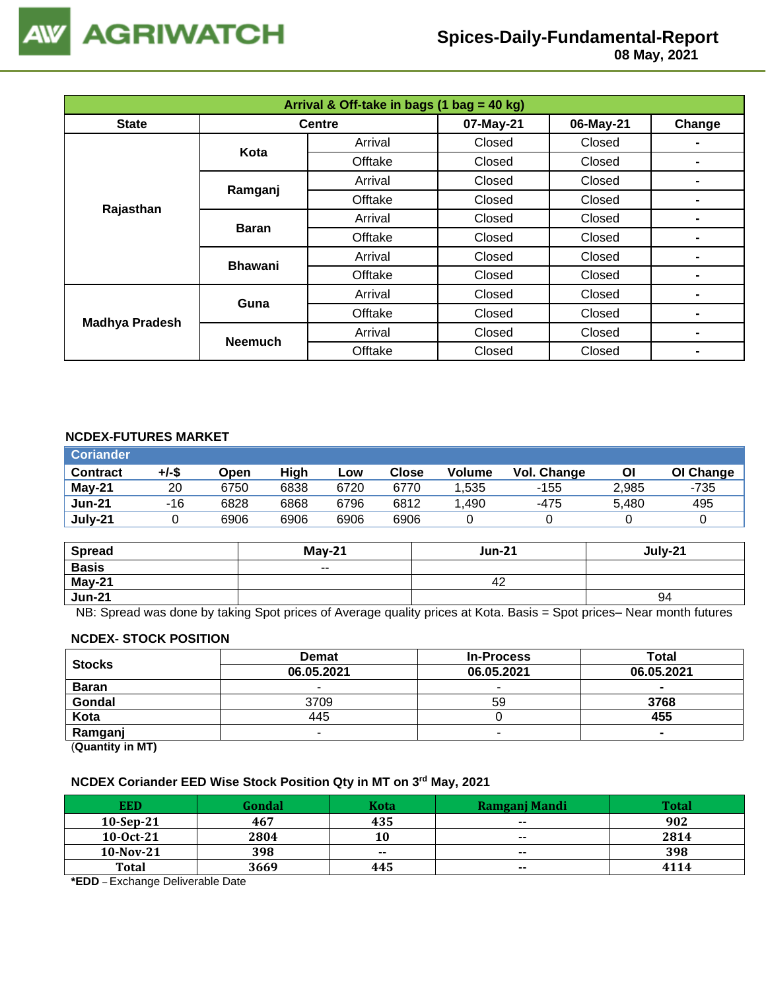

 **08 May, 2021**

| Arrival & Off-take in bags (1 bag = 40 kg) |                |               |           |           |        |  |  |
|--------------------------------------------|----------------|---------------|-----------|-----------|--------|--|--|
| <b>State</b>                               |                | <b>Centre</b> | 07-May-21 | 06-May-21 | Change |  |  |
|                                            | Kota           | Arrival       | Closed    | Closed    |        |  |  |
|                                            |                | Offtake       | Closed    | Closed    | -      |  |  |
|                                            |                | Arrival       | Closed    | Closed    | ۰      |  |  |
|                                            | Ramganj        | Offtake       | Closed    | Closed    |        |  |  |
| Rajasthan                                  | <b>Baran</b>   | Arrival       | Closed    | Closed    | -      |  |  |
|                                            |                | Offtake       | Closed    | Closed    | ۰      |  |  |
|                                            | <b>Bhawani</b> | Arrival       | Closed    | Closed    |        |  |  |
|                                            |                | Offtake       | Closed    | Closed    | -      |  |  |
| <b>Madhya Pradesh</b>                      | Guna           | Arrival       | Closed    | Closed    | -      |  |  |
|                                            |                | Offtake       | Closed    | Closed    | ۰      |  |  |
|                                            |                | Arrival       | Closed    | Closed    |        |  |  |
|                                            | <b>Neemuch</b> | Offtake       | Closed    | Closed    | -      |  |  |

## **NCDEX-FUTURES MARKET**

| <b>Coriander</b> |       |      |      |      |       |               |             |       |           |
|------------------|-------|------|------|------|-------|---------------|-------------|-------|-----------|
| <b>Contract</b>  | +/-\$ | Open | High | Low  | Close | <b>Volume</b> | Vol. Change | Οl    | OI Change |
| May-21           | 20    | 6750 | 6838 | 6720 | 6770  | 1,535         | -155        | 2,985 | -735      |
| <b>Jun-21</b>    | -16   | 6828 | 6868 | 6796 | 6812  | .490          | -475        | 5,480 | 495       |
| July-21          |       | 6906 | 6906 | 6906 | 6906  |               |             |       |           |

| <b>Spread</b> | $May-21$ | <b>Jun-21</b> | July-21 |
|---------------|----------|---------------|---------|
| <b>Basis</b>  | $- -$    |               |         |
| May-21        |          | 42            |         |
| <b>Jun-21</b> |          |               | 94      |

NB: Spread was done by taking Spot prices of Average quality prices at Kota. Basis = Spot prices– Near month futures

#### **NCDEX- STOCK POSITION**

| <b>Stocks</b>                                                   | <b>Demat</b> | <b>In-Process</b> | Total          |
|-----------------------------------------------------------------|--------------|-------------------|----------------|
|                                                                 | 06.05.2021   | 06.05.2021        | 06.05.2021     |
| <b>Baran</b>                                                    |              | -                 | -              |
| Gondal                                                          | 3709         | 59                | 3768           |
| Kota                                                            | 445          |                   | 455            |
| Ramganj                                                         | -            | -                 | $\blacksquare$ |
| $\mathbf{r}$ and $\mathbf{r}$ and $\mathbf{r}$ and $\mathbf{r}$ |              |                   |                |

(**Quantity in MT)**

#### **NCDEX Coriander EED Wise Stock Position Qty in MT on 3 rd May, 2021**

| <b>EED</b>   | Gondal | Kota  | Ramganj Mandi | Total |
|--------------|--------|-------|---------------|-------|
| $10-Sep-21$  | 467    | 435   | $- -$         | 902   |
| $10-0ct-21$  | 2804   | 10    | $\sim$        | 2814  |
| $10-Nov-21$  | 398    | $- -$ | $\sim$ $\sim$ | 398   |
| <b>Total</b> | 3669   | 445   | $\sim$ $\sim$ | 4114  |